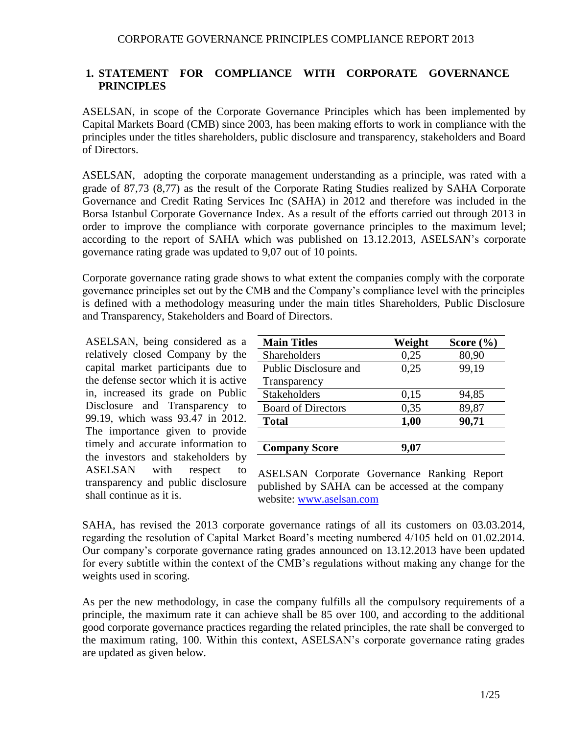### **1. STATEMENT FOR COMPLIANCE WITH CORPORATE GOVERNANCE PRINCIPLES**

ASELSAN, in scope of the Corporate Governance Principles which has been implemented by Capital Markets Board (CMB) since 2003, has been making efforts to work in compliance with the principles under the titles shareholders, public disclosure and transparency, stakeholders and Board of Directors.

ASELSAN, adopting the corporate management understanding as a principle, was rated with a grade of 87,73 (8,77) as the result of the Corporate Rating Studies realized by SAHA Corporate Governance and Credit Rating Services Inc (SAHA) in 2012 and therefore was included in the Borsa Istanbul Corporate Governance Index. As a result of the efforts carried out through 2013 in order to improve the compliance with corporate governance principles to the maximum level; according to the report of SAHA which was published on 13.12.2013, ASELSAN's corporate governance rating grade was updated to 9,07 out of 10 points.

Corporate governance rating grade shows to what extent the companies comply with the corporate governance principles set out by the CMB and the Company's compliance level with the principles is defined with a methodology measuring under the main titles Shareholders, Public Disclosure and Transparency, Stakeholders and Board of Directors.

ASELSAN, being considered as a relatively closed Company by the capital market participants due to the defense sector which it is active in, increased its grade on Public Disclosure and Transparency to 99.19, which wass 93.47 in 2012. The importance given to provide timely and accurate information to the investors and stakeholders by ASELSAN with respect to transparency and public disclosure shall continue as it is.

| <b>Main Titles</b>           | Weight | Score $(\% )$ |
|------------------------------|--------|---------------|
| Shareholders                 | 0,25   | 80,90         |
| <b>Public Disclosure and</b> | 0,25   | 99,19         |
| Transparency                 |        |               |
| <b>Stakeholders</b>          | 0,15   | 94,85         |
| <b>Board of Directors</b>    | 0,35   | 89,87         |
| <b>Total</b>                 | 1,00   | 90,71         |
|                              |        |               |
| <b>Company Score</b>         |        |               |

ASELSAN Corporate Governance Ranking Report published by SAHA can be accessed at the company website: [www.aselsan.com](http://www.aselsan.com/)

SAHA, has revised the 2013 corporate governance ratings of all its customers on 03.03.2014, regarding the resolution of Capital Market Board's meeting numbered 4/105 held on 01.02.2014. Our company's corporate governance rating grades announced on 13.12.2013 have been updated for every subtitle within the context of the CMB's regulations without making any change for the weights used in scoring.

As per the new methodology, in case the company fulfills all the compulsory requirements of a principle, the maximum rate it can achieve shall be 85 over 100, and according to the additional good corporate governance practices regarding the related principles, the rate shall be converged to the maximum rating, 100. Within this context, ASELSAN's corporate governance rating grades are updated as given below.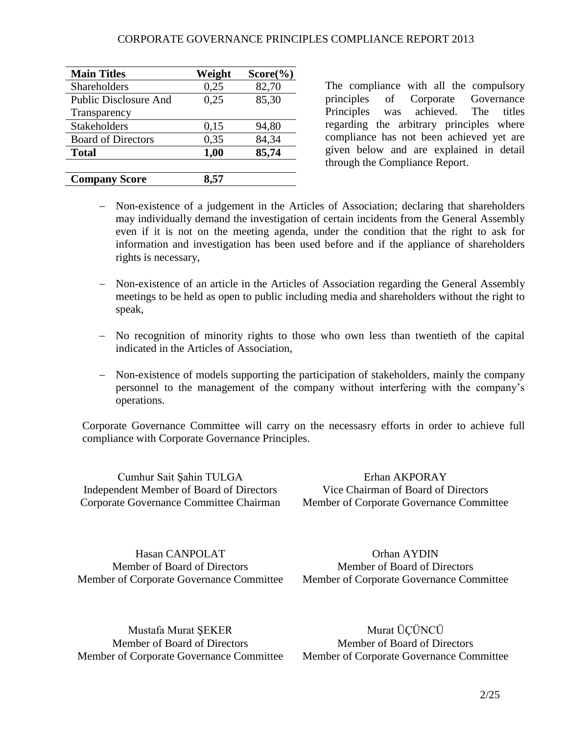| <b>Main Titles</b>           | Weight | $Score(\%)$ |
|------------------------------|--------|-------------|
| Shareholders                 | 0,25   | 82,70       |
| <b>Public Disclosure And</b> | 0,25   | 85,30       |
| Transparency                 |        |             |
| <b>Stakeholders</b>          | 0,15   | 94,80       |
| <b>Board of Directors</b>    | 0,35   | 84,34       |
| <b>Total</b>                 | 1,00   | 85,74       |
|                              |        |             |
| <b>Company Score</b>         |        |             |

The compliance with all the compulsory principles of Corporate Governance Principles was achieved. The titles regarding the arbitrary principles where compliance has not been achieved yet are given below and are explained in detail through the Compliance Report.

- Non-existence of a judgement in the Articles of Association; declaring that shareholders may individually demand the investigation of certain incidents from the General Assembly even if it is not on the meeting agenda, under the condition that the right to ask for information and investigation has been used before and if the appliance of shareholders rights is necessary,
- Non-existence of an article in the Articles of Association regarding the General Assembly meetings to be held as open to public including media and shareholders without the right to speak,
- No recognition of minority rights to those who own less than twentieth of the capital indicated in the Articles of Association,
- Non-existence of models supporting the participation of stakeholders, mainly the company personnel to the management of the company without interfering with the company's operations.

Corporate Governance Committee will carry on the necessasry efforts in order to achieve full compliance with Corporate Governance Principles.

Cumhur Sait Şahin TULGA Independent Member of Board of Directors Corporate Governance Committee Chairman

Erhan AKPORAY Vice Chairman of Board of Directors Member of Corporate Governance Committee

Hasan CANPOLAT Member of Board of Directors Member of Corporate Governance Committee

Orhan AYDIN Member of Board of Directors Member of Corporate Governance Committee

Mustafa Murat ŞEKER Member of Board of Directors Member of Corporate Governance Committee

Murat ÜÇÜNCÜ Member of Board of Directors Member of Corporate Governance Committee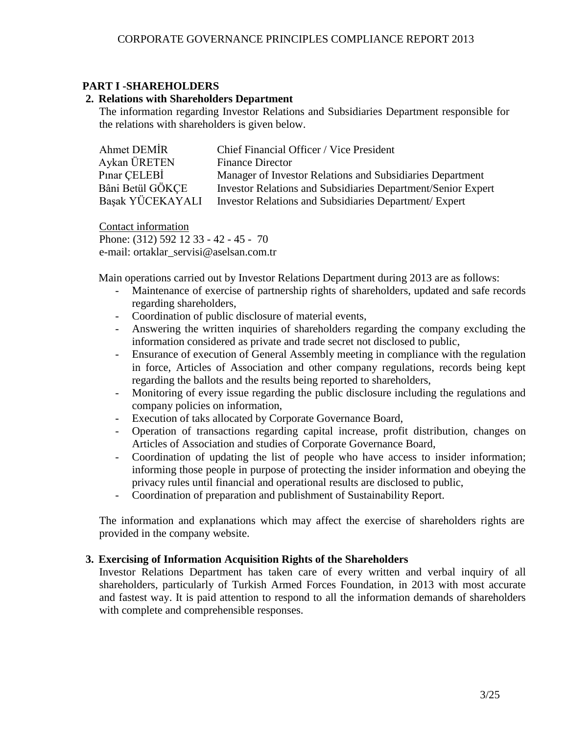### **PART I -SHAREHOLDERS**

### **2. Relations with Shareholders Department**

The information regarding Investor Relations and Subsidiaries Department responsible for the relations with shareholders is given below.

| Ahmet DEMIR      | Chief Financial Officer / Vice President                            |
|------------------|---------------------------------------------------------------------|
| Aykan ÜRETEN     | <b>Finance Director</b>                                             |
| Pinar CELEBI     | Manager of Investor Relations and Subsidiaries Department           |
| Bâni Betül GÖKCE | <b>Investor Relations and Subsidiaries Department/Senior Expert</b> |
| Başak YÜCEKAYALI | Investor Relations and Subsidiaries Department/ Expert              |

Contact information Phone: (312) 592 12 33 - 42 - 45 - 70 e-mail: ortaklar\_servisi@aselsan.com.tr

Main operations carried out by Investor Relations Department during 2013 are as follows:

- Maintenance of exercise of partnership rights of shareholders, updated and safe records regarding shareholders,
- Coordination of public disclosure of material events,
- Answering the written inquiries of shareholders regarding the company excluding the information considered as private and trade secret not disclosed to public,
- Ensurance of execution of General Assembly meeting in compliance with the regulation in force, Articles of Association and other company regulations, records being kept regarding the ballots and the results being reported to shareholders,
- Monitoring of every issue regarding the public disclosure including the regulations and company policies on information,
- Execution of taks allocated by Corporate Governance Board,
- Operation of transactions regarding capital increase, profit distribution, changes on Articles of Association and studies of Corporate Governance Board,
- Coordination of updating the list of people who have access to insider information; informing those people in purpose of protecting the insider information and obeying the privacy rules until financial and operational results are disclosed to public,
- Coordination of preparation and publishment of Sustainability Report.

The information and explanations which may affect the exercise of shareholders rights are provided in the company website.

### **3. Exercising of Information Acquisition Rights of the Shareholders**

Investor Relations Department has taken care of every written and verbal inquiry of all shareholders, particularly of Turkish Armed Forces Foundation, in 2013 with most accurate and fastest way. It is paid attention to respond to all the information demands of shareholders with complete and comprehensible responses.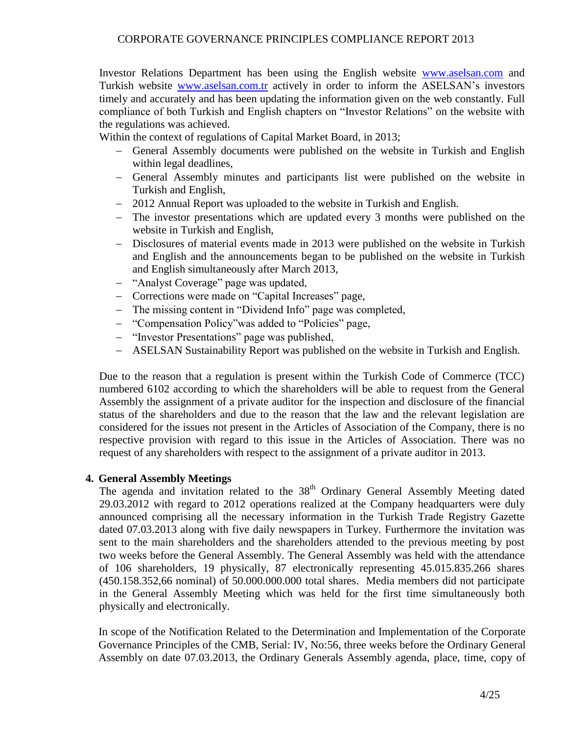Investor Relations Department has been using the English website [www.aselsan.com](http://www.aselsan.com/) and Turkish website [www.aselsan.com.tr](http://www.aselsan.com.tr/) actively in order to inform the ASELSAN's investors timely and accurately and has been updating the information given on the web constantly. Full compliance of both Turkish and English chapters on "Investor Relations" on the website with the regulations was achieved.

Within the context of regulations of Capital Market Board, in 2013;

- General Assembly documents were published on the website in Turkish and English within legal deadlines,
- General Assembly minutes and participants list were published on the website in Turkish and English,
- 2012 Annual Report was uploaded to the website in Turkish and English.
- The investor presentations which are updated every 3 months were published on the website in Turkish and English,
- Disclosures of material events made in 2013 were published on the website in Turkish and English and the announcements began to be published on the website in Turkish and English simultaneously after March 2013,
- "Analyst Coverage" page was updated,
- Corrections were made on "Capital Increases" page,
- The missing content in "Dividend Info" page was completed,
- "Compensation Policy" was added to "Policies" page,
- "Investor Presentations" page was published,
- ASELSAN Sustainability Report was published on the website in Turkish and English.

Due to the reason that a regulation is present within the Turkish Code of Commerce (TCC) numbered 6102 according to which the shareholders will be able to request from the General Assembly the assignment of a private auditor for the inspection and disclosure of the financial status of the shareholders and due to the reason that the law and the relevant legislation are considered for the issues not present in the Articles of Association of the Company, there is no respective provision with regard to this issue in the Articles of Association. There was no request of any shareholders with respect to the assignment of a private auditor in 2013.

### **4. General Assembly Meetings**

The agenda and invitation related to the 38<sup>th</sup> Ordinary General Assembly Meeting dated 29.03.2012 with regard to 2012 operations realized at the Company headquarters were duly announced comprising all the necessary information in the Turkish Trade Registry Gazette dated 07.03.2013 along with five daily newspapers in Turkey. Furthermore the invitation was sent to the main shareholders and the shareholders attended to the previous meeting by post two weeks before the General Assembly. The General Assembly was held with the attendance of 106 shareholders, 19 physically, 87 electronically representing 45.015.835.266 shares (450.158.352,66 nominal) of 50.000.000.000 total shares. Media members did not participate in the General Assembly Meeting which was held for the first time simultaneously both physically and electronically.

In scope of the Notification Related to the Determination and Implementation of the Corporate Governance Principles of the CMB, Serial: IV, No:56, three weeks before the Ordinary General Assembly on date 07.03.2013, the Ordinary Generals Assembly agenda, place, time, copy of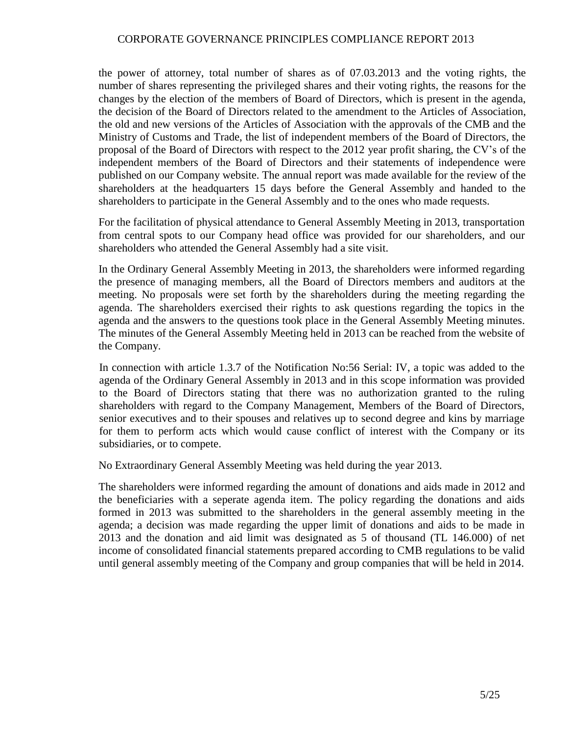the power of attorney, total number of shares as of 07.03.2013 and the voting rights, the number of shares representing the privileged shares and their voting rights, the reasons for the changes by the election of the members of Board of Directors, which is present in the agenda, the decision of the Board of Directors related to the amendment to the Articles of Association, the old and new versions of the Articles of Association with the approvals of the CMB and the Ministry of Customs and Trade, the list of independent members of the Board of Directors, the proposal of the Board of Directors with respect to the 2012 year profit sharing, the CV's of the independent members of the Board of Directors and their statements of independence were published on our Company website. The annual report was made available for the review of the shareholders at the headquarters 15 days before the General Assembly and handed to the shareholders to participate in the General Assembly and to the ones who made requests.

For the facilitation of physical attendance to General Assembly Meeting in 2013, transportation from central spots to our Company head office was provided for our shareholders, and our shareholders who attended the General Assembly had a site visit.

In the Ordinary General Assembly Meeting in 2013, the shareholders were informed regarding the presence of managing members, all the Board of Directors members and auditors at the meeting. No proposals were set forth by the shareholders during the meeting regarding the agenda. The shareholders exercised their rights to ask questions regarding the topics in the agenda and the answers to the questions took place in the General Assembly Meeting minutes. The minutes of the General Assembly Meeting held in 2013 can be reached from the website of the Company.

In connection with article 1.3.7 of the Notification No:56 Serial: IV, a topic was added to the agenda of the Ordinary General Assembly in 2013 and in this scope information was provided to the Board of Directors stating that there was no authorization granted to the ruling shareholders with regard to the Company Management, Members of the Board of Directors, senior executives and to their spouses and relatives up to second degree and kins by marriage for them to perform acts which would cause conflict of interest with the Company or its subsidiaries, or to compete.

No Extraordinary General Assembly Meeting was held during the year 2013.

The shareholders were informed regarding the amount of donations and aids made in 2012 and the beneficiaries with a seperate agenda item. The policy regarding the donations and aids formed in 2013 was submitted to the shareholders in the general assembly meeting in the agenda; a decision was made regarding the upper limit of donations and aids to be made in 2013 and the donation and aid limit was designated as 5 of thousand (TL 146.000) of net income of consolidated financial statements prepared according to CMB regulations to be valid until general assembly meeting of the Company and group companies that will be held in 2014.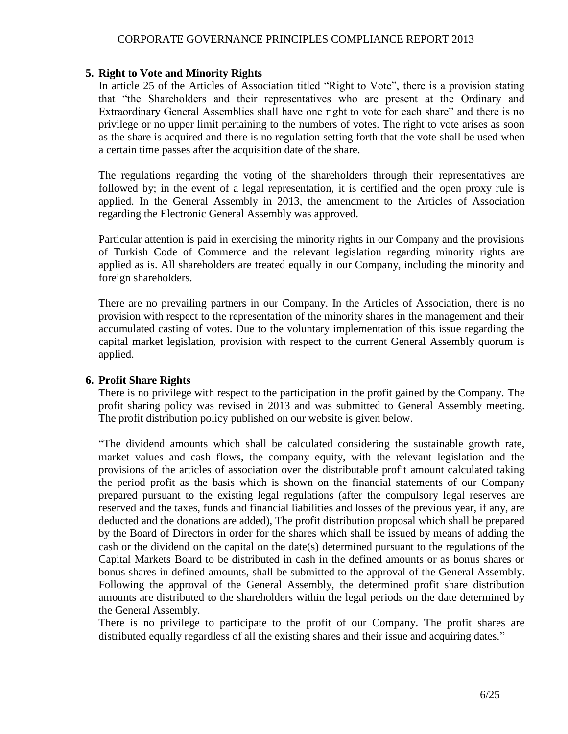#### **5. Right to Vote and Minority Rights**

In article 25 of the Articles of Association titled "Right to Vote", there is a provision stating that "the Shareholders and their representatives who are present at the Ordinary and Extraordinary General Assemblies shall have one right to vote for each share" and there is no privilege or no upper limit pertaining to the numbers of votes. The right to vote arises as soon as the share is acquired and there is no regulation setting forth that the vote shall be used when a certain time passes after the acquisition date of the share.

The regulations regarding the voting of the shareholders through their representatives are followed by; in the event of a legal representation, it is certified and the open proxy rule is applied. In the General Assembly in 2013, the amendment to the Articles of Association regarding the Electronic General Assembly was approved.

Particular attention is paid in exercising the minority rights in our Company and the provisions of Turkish Code of Commerce and the relevant legislation regarding minority rights are applied as is. All shareholders are treated equally in our Company, including the minority and foreign shareholders.

There are no prevailing partners in our Company. In the Articles of Association, there is no provision with respect to the representation of the minority shares in the management and their accumulated casting of votes. Due to the voluntary implementation of this issue regarding the capital market legislation, provision with respect to the current General Assembly quorum is applied.

#### **6. Profit Share Rights**

There is no privilege with respect to the participation in the profit gained by the Company. The profit sharing policy was revised in 2013 and was submitted to General Assembly meeting. The profit distribution policy published on our website is given below.

"The dividend amounts which shall be calculated considering the sustainable growth rate, market values and cash flows, the company equity, with the relevant legislation and the provisions of the articles of association over the distributable profit amount calculated taking the period profit as the basis which is shown on the financial statements of our Company prepared pursuant to the existing legal regulations (after the compulsory legal reserves are reserved and the taxes, funds and financial liabilities and losses of the previous year, if any, are deducted and the donations are added), The profit distribution proposal which shall be prepared by the Board of Directors in order for the shares which shall be issued by means of adding the cash or the dividend on the capital on the date(s) determined pursuant to the regulations of the Capital Markets Board to be distributed in cash in the defined amounts or as bonus shares or bonus shares in defined amounts, shall be submitted to the approval of the General Assembly. Following the approval of the General Assembly, the determined profit share distribution amounts are distributed to the shareholders within the legal periods on the date determined by the General Assembly.

There is no privilege to participate to the profit of our Company. The profit shares are distributed equally regardless of all the existing shares and their issue and acquiring dates."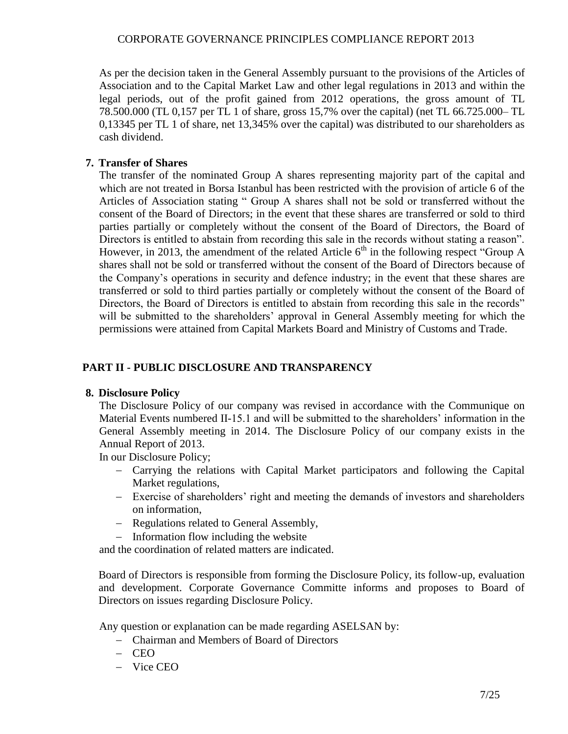As per the decision taken in the General Assembly pursuant to the provisions of the Articles of Association and to the Capital Market Law and other legal regulations in 2013 and within the legal periods, out of the profit gained from 2012 operations, the gross amount of TL 78.500.000 (TL 0,157 per TL 1 of share, gross 15,7% over the capital) (net TL 66.725.000– TL 0,13345 per TL 1 of share, net 13,345% over the capital) was distributed to our shareholders as cash dividend.

## **7. Transfer of Shares**

The transfer of the nominated Group A shares representing majority part of the capital and which are not treated in Borsa Istanbul has been restricted with the provision of article 6 of the Articles of Association stating " Group A shares shall not be sold or transferred without the consent of the Board of Directors; in the event that these shares are transferred or sold to third parties partially or completely without the consent of the Board of Directors, the Board of Directors is entitled to abstain from recording this sale in the records without stating a reason". However, in 2013, the amendment of the related Article  $6<sup>th</sup>$  in the following respect "Group A shares shall not be sold or transferred without the consent of the Board of Directors because of the Company's operations in security and defence industry; in the event that these shares are transferred or sold to third parties partially or completely without the consent of the Board of Directors, the Board of Directors is entitled to abstain from recording this sale in the records" will be submitted to the shareholders' approval in General Assembly meeting for which the permissions were attained from Capital Markets Board and Ministry of Customs and Trade.

# **PART II - PUBLIC DISCLOSURE AND TRANSPARENCY**

### **8. Disclosure Policy**

The Disclosure Policy of our company was revised in accordance with the Communique on Material Events numbered II-15.1 and will be submitted to the shareholders' information in the General Assembly meeting in 2014. The Disclosure Policy of our company exists in the Annual Report of 2013.

In our Disclosure Policy;

- Carrying the relations with Capital Market participators and following the Capital Market regulations,
- Exercise of shareholders' right and meeting the demands of investors and shareholders on information,
- Regulations related to General Assembly,
- Information flow including the website

and the coordination of related matters are indicated.

Board of Directors is responsible from forming the Disclosure Policy, its follow-up, evaluation and development. Corporate Governance Committe informs and proposes to Board of Directors on issues regarding Disclosure Policy.

Any question or explanation can be made regarding ASELSAN by:

- Chairman and Members of Board of Directors
- $-$  CEO
- Vice CEO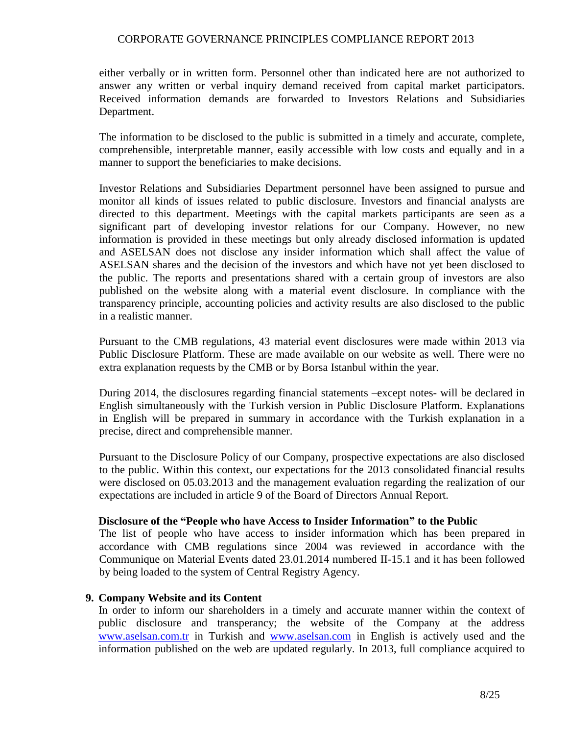either verbally or in written form. Personnel other than indicated here are not authorized to answer any written or verbal inquiry demand received from capital market participators. Received information demands are forwarded to Investors Relations and Subsidiaries Department.

The information to be disclosed to the public is submitted in a timely and accurate, complete, comprehensible, interpretable manner, easily accessible with low costs and equally and in a manner to support the beneficiaries to make decisions.

Investor Relations and Subsidiaries Department personnel have been assigned to pursue and monitor all kinds of issues related to public disclosure. Investors and financial analysts are directed to this department. Meetings with the capital markets participants are seen as a significant part of developing investor relations for our Company. However, no new information is provided in these meetings but only already disclosed information is updated and ASELSAN does not disclose any insider information which shall affect the value of ASELSAN shares and the decision of the investors and which have not yet been disclosed to the public. The reports and presentations shared with a certain group of investors are also published on the website along with a material event disclosure. In compliance with the transparency principle, accounting policies and activity results are also disclosed to the public in a realistic manner.

Pursuant to the CMB regulations, 43 material event disclosures were made within 2013 via Public Disclosure Platform. These are made available on our website as well. There were no extra explanation requests by the CMB or by Borsa Istanbul within the year.

During 2014, the disclosures regarding financial statements –except notes- will be declared in English simultaneously with the Turkish version in Public Disclosure Platform. Explanations in English will be prepared in summary in accordance with the Turkish explanation in a precise, direct and comprehensible manner.

Pursuant to the Disclosure Policy of our Company, prospective expectations are also disclosed to the public. Within this context, our expectations for the 2013 consolidated financial results were disclosed on 05.03.2013 and the management evaluation regarding the realization of our expectations are included in article 9 of the Board of Directors Annual Report.

#### **Disclosure of the "People who have Access to Insider Information" to the Public**

The list of people who have access to insider information which has been prepared in accordance with CMB regulations since 2004 was reviewed in accordance with the Communique on Material Events dated 23.01.2014 numbered II-15.1 and it has been followed by being loaded to the system of Central Registry Agency.

#### **9. Company Website and its Content**

In order to inform our shareholders in a timely and accurate manner within the context of public disclosure and transperancy; the website of the Company at the address [www.aselsan.com.tr](http://www.aselsan.com.tr/) in Turkish and [www.aselsan.com](http://www.aselsan.com/) in English is actively used and the information published on the web are updated regularly. In 2013, full compliance acquired to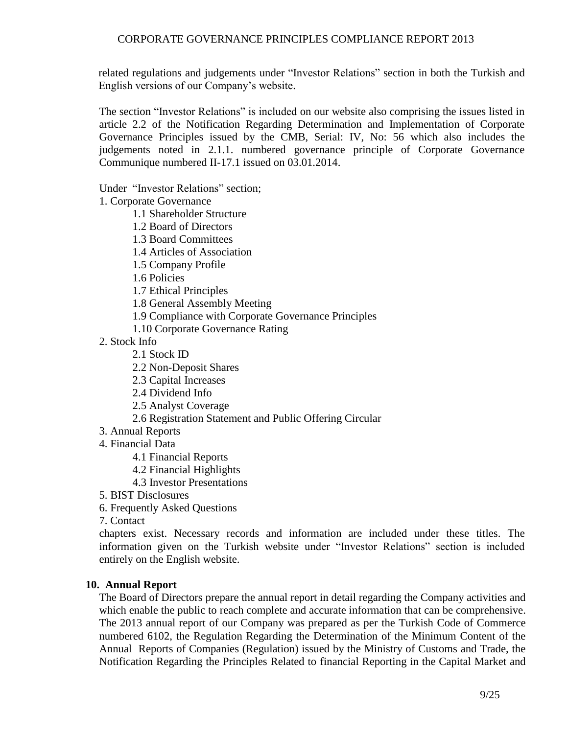related regulations and judgements under "Investor Relations" section in both the Turkish and English versions of our Company's website.

The section "Investor Relations" is included on our website also comprising the issues listed in article 2.2 of the Notification Regarding Determination and Implementation of Corporate Governance Principles issued by the CMB, Serial: IV, No: 56 which also includes the judgements noted in 2.1.1. numbered governance principle of Corporate Governance Communique numbered II-17.1 issued on 03.01.2014.

Under "Investor Relations" section;

1. Corporate Governance

1.1 Shareholder Structure

1.2 Board of Directors

1.3 Board Committees

- 1.4 Articles of Association
- 1.5 Company Profile

1.6 Policies

1.7 Ethical Principles

1.8 General Assembly Meeting

- 1.9 Compliance with Corporate Governance Principles
- 1.10 Corporate Governance Rating
- 2. Stock Info
	- 2.1 Stock ID
	- 2.2 Non-Deposit Shares
	- 2.3 Capital Increases
	- 2.4 Dividend Info
	- 2.5 Analyst Coverage
	- 2.6 Registration Statement and Public Offering Circular
- 3. Annual Reports
- 4. Financial Data
	- 4.1 Financial Reports
	- 4.2 Financial Highlights
	- 4.3 Investor Presentations
- 5. BIST Disclosures
- 6. Frequently Asked Questions

7. Contact

chapters exist. Necessary records and information are included under these titles. The information given on the Turkish website under "Investor Relations" section is included entirely on the English website.

#### **10. Annual Report**

The Board of Directors prepare the annual report in detail regarding the Company activities and which enable the public to reach complete and accurate information that can be comprehensive. The 2013 annual report of our Company was prepared as per the Turkish Code of Commerce numbered 6102, the Regulation Regarding the Determination of the Minimum Content of the Annual Reports of Companies (Regulation) issued by the Ministry of Customs and Trade, the Notification Regarding the Principles Related to financial Reporting in the Capital Market and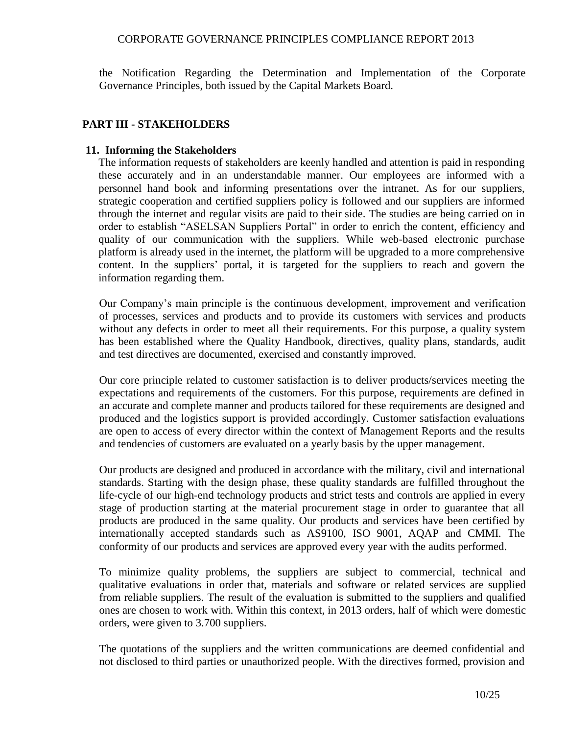the Notification Regarding the Determination and Implementation of the Corporate Governance Principles, both issued by the Capital Markets Board.

### **PART III - STAKEHOLDERS**

#### **11. Informing the Stakeholders**

The information requests of stakeholders are keenly handled and attention is paid in responding these accurately and in an understandable manner. Our employees are informed with a personnel hand book and informing presentations over the intranet. As for our suppliers, strategic cooperation and certified suppliers policy is followed and our suppliers are informed through the internet and regular visits are paid to their side. The studies are being carried on in order to establish "ASELSAN Suppliers Portal" in order to enrich the content, efficiency and quality of our communication with the suppliers. While web-based electronic purchase platform is already used in the internet, the platform will be upgraded to a more comprehensive content. In the suppliers' portal, it is targeted for the suppliers to reach and govern the information regarding them.

Our Company's main principle is the continuous development, improvement and verification of processes, services and products and to provide its customers with services and products without any defects in order to meet all their requirements. For this purpose, a quality system has been established where the Quality Handbook, directives, quality plans, standards, audit and test directives are documented, exercised and constantly improved.

Our core principle related to customer satisfaction is to deliver products/services meeting the expectations and requirements of the customers. For this purpose, requirements are defined in an accurate and complete manner and products tailored for these requirements are designed and produced and the logistics support is provided accordingly. Customer satisfaction evaluations are open to access of every director within the context of Management Reports and the results and tendencies of customers are evaluated on a yearly basis by the upper management.

Our products are designed and produced in accordance with the military, civil and international standards. Starting with the design phase, these quality standards are fulfilled throughout the life-cycle of our high-end technology products and strict tests and controls are applied in every stage of production starting at the material procurement stage in order to guarantee that all products are produced in the same quality. Our products and services have been certified by internationally accepted standards such as AS9100, ISO 9001, AQAP and CMMI. The conformity of our products and services are approved every year with the audits performed.

To minimize quality problems, the suppliers are subject to commercial, technical and qualitative evaluations in order that, materials and software or related services are supplied from reliable suppliers. The result of the evaluation is submitted to the suppliers and qualified ones are chosen to work with. Within this context, in 2013 orders, half of which were domestic orders, were given to 3.700 suppliers.

The quotations of the suppliers and the written communications are deemed confidential and not disclosed to third parties or unauthorized people. With the directives formed, provision and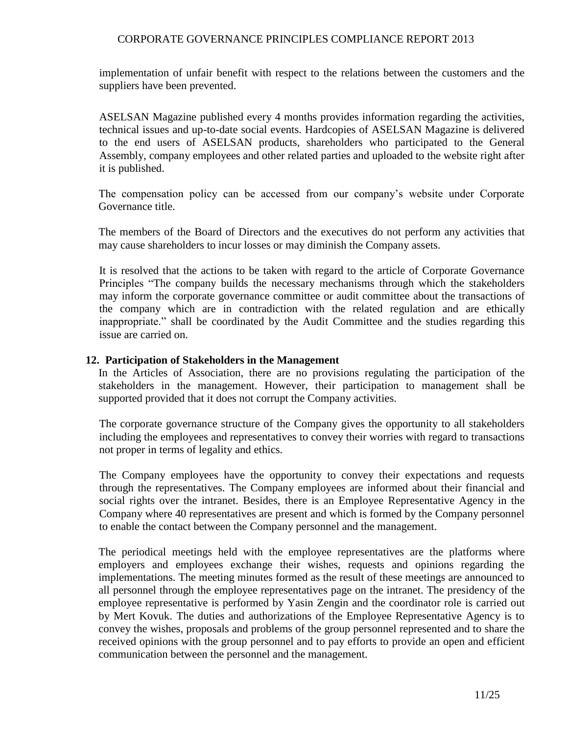implementation of unfair benefit with respect to the relations between the customers and the suppliers have been prevented.

ASELSAN Magazine published every 4 months provides information regarding the activities, technical issues and up-to-date social events. Hardcopies of ASELSAN Magazine is delivered to the end users of ASELSAN products, shareholders who participated to the General Assembly, company employees and other related parties and uploaded to the website right after it is published.

The compensation policy can be accessed from our company's website under Corporate Governance title.

The members of the Board of Directors and the executives do not perform any activities that may cause shareholders to incur losses or may diminish the Company assets.

It is resolved that the actions to be taken with regard to the article of Corporate Governance Principles "The company builds the necessary mechanisms through which the stakeholders may inform the corporate governance committee or audit committee about the transactions of the company which are in contradiction with the related regulation and are ethically inappropriate." shall be coordinated by the Audit Committee and the studies regarding this issue are carried on.

#### **12. Participation of Stakeholders in the Management**

In the Articles of Association, there are no provisions regulating the participation of the stakeholders in the management. However, their participation to management shall be supported provided that it does not corrupt the Company activities.

The corporate governance structure of the Company gives the opportunity to all stakeholders including the employees and representatives to convey their worries with regard to transactions not proper in terms of legality and ethics.

The Company employees have the opportunity to convey their expectations and requests through the representatives. The Company employees are informed about their financial and social rights over the intranet. Besides, there is an Employee Representative Agency in the Company where 40 representatives are present and which is formed by the Company personnel to enable the contact between the Company personnel and the management.

The periodical meetings held with the employee representatives are the platforms where employers and employees exchange their wishes, requests and opinions regarding the implementations. The meeting minutes formed as the result of these meetings are announced to all personnel through the employee representatives page on the intranet. The presidency of the employee representative is performed by Yasin Zengin and the coordinator role is carried out by Mert Kovuk. The duties and authorizations of the Employee Representative Agency is to convey the wishes, proposals and problems of the group personnel represented and to share the received opinions with the group personnel and to pay efforts to provide an open and efficient communication between the personnel and the management.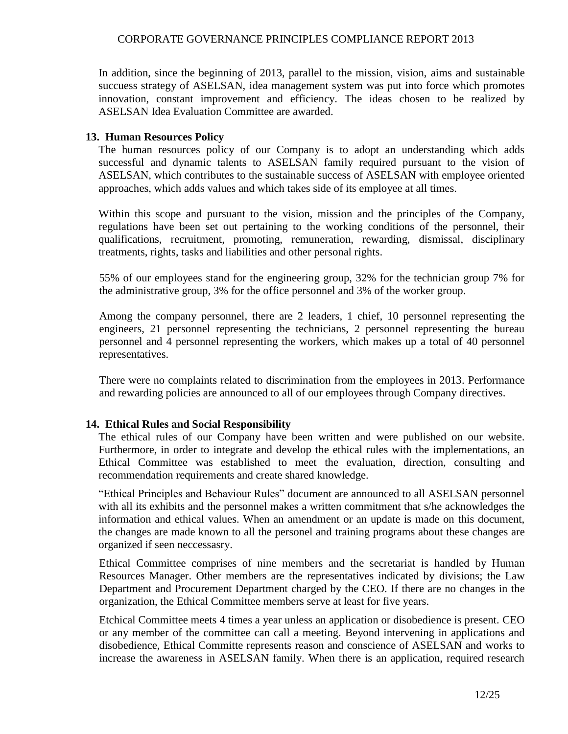In addition, since the beginning of 2013, parallel to the mission, vision, aims and sustainable succuess strategy of ASELSAN, idea management system was put into force which promotes innovation, constant improvement and efficiency. The ideas chosen to be realized by ASELSAN Idea Evaluation Committee are awarded.

### **13. Human Resources Policy**

The human resources policy of our Company is to adopt an understanding which adds successful and dynamic talents to ASELSAN family required pursuant to the vision of ASELSAN, which contributes to the sustainable success of ASELSAN with employee oriented approaches, which adds values and which takes side of its employee at all times.

Within this scope and pursuant to the vision, mission and the principles of the Company, regulations have been set out pertaining to the working conditions of the personnel, their qualifications, recruitment, promoting, remuneration, rewarding, dismissal, disciplinary treatments, rights, tasks and liabilities and other personal rights.

55% of our employees stand for the engineering group, 32% for the technician group 7% for the administrative group, 3% for the office personnel and 3% of the worker group.

Among the company personnel, there are 2 leaders, 1 chief, 10 personnel representing the engineers, 21 personnel representing the technicians, 2 personnel representing the bureau personnel and 4 personnel representing the workers, which makes up a total of 40 personnel representatives.

There were no complaints related to discrimination from the employees in 2013. Performance and rewarding policies are announced to all of our employees through Company directives.

### **14. Ethical Rules and Social Responsibility**

The ethical rules of our Company have been written and were published on our website. Furthermore, in order to integrate and develop the ethical rules with the implementations, an Ethical Committee was established to meet the evaluation, direction, consulting and recommendation requirements and create shared knowledge.

"Ethical Principles and Behaviour Rules" document are announced to all ASELSAN personnel with all its exhibits and the personnel makes a written commitment that s/he acknowledges the information and ethical values. When an amendment or an update is made on this document, the changes are made known to all the personel and training programs about these changes are organized if seen neccessasry.

Ethical Committee comprises of nine members and the secretariat is handled by Human Resources Manager. Other members are the representatives indicated by divisions; the Law Department and Procurement Department charged by the CEO. If there are no changes in the organization, the Ethical Committee members serve at least for five years.

Etchical Committee meets 4 times a year unless an application or disobedience is present. CEO or any member of the committee can call a meeting. Beyond intervening in applications and disobedience, Ethical Committe represents reason and conscience of ASELSAN and works to increase the awareness in ASELSAN family. When there is an application, required research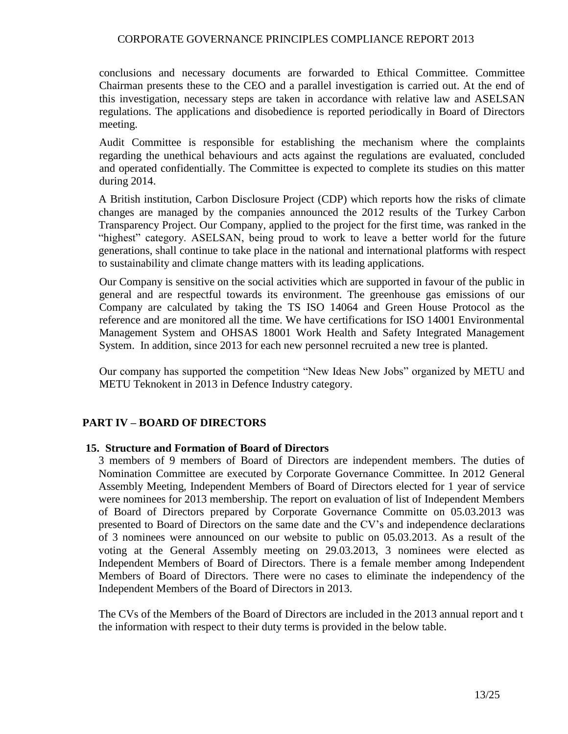conclusions and necessary documents are forwarded to Ethical Committee. Committee Chairman presents these to the CEO and a parallel investigation is carried out. At the end of this investigation, necessary steps are taken in accordance with relative law and ASELSAN regulations. The applications and disobedience is reported periodically in Board of Directors meeting.

Audit Committee is responsible for establishing the mechanism where the complaints regarding the unethical behaviours and acts against the regulations are evaluated, concluded and operated confidentially. The Committee is expected to complete its studies on this matter during 2014.

A British institution, Carbon Disclosure Project (CDP) which reports how the risks of climate changes are managed by the companies announced the 2012 results of the Turkey Carbon Transparency Project. Our Company, applied to the project for the first time, was ranked in the "highest" category. ASELSAN, being proud to work to leave a better world for the future generations, shall continue to take place in the national and international platforms with respect to sustainability and climate change matters with its leading applications.

Our Company is sensitive on the social activities which are supported in favour of the public in general and are respectful towards its environment. The greenhouse gas emissions of our Company are calculated by taking the TS ISO 14064 and Green House Protocol as the reference and are monitored all the time. We have certifications for ISO 14001 Environmental Management System and OHSAS 18001 Work Health and Safety Integrated Management System. In addition, since 2013 for each new personnel recruited a new tree is planted.

Our company has supported the competition "New Ideas New Jobs" organized by METU and METU Teknokent in 2013 in Defence Industry category.

#### **PART IV – BOARD OF DIRECTORS**

#### **15. Structure and Formation of Board of Directors**

3 members of 9 members of Board of Directors are independent members. The duties of Nomination Committee are executed by Corporate Governance Committee. In 2012 General Assembly Meeting, Independent Members of Board of Directors elected for 1 year of service were nominees for 2013 membership. The report on evaluation of list of Independent Members of Board of Directors prepared by Corporate Governance Committe on 05.03.2013 was presented to Board of Directors on the same date and the CV's and independence declarations of 3 nominees were announced on our website to public on 05.03.2013. As a result of the voting at the General Assembly meeting on 29.03.2013, 3 nominees were elected as Independent Members of Board of Directors. There is a female member among Independent Members of Board of Directors. There were no cases to eliminate the independency of the Independent Members of the Board of Directors in 2013.

The CVs of the Members of the Board of Directors are included in the 2013 annual report and t the information with respect to their duty terms is provided in the below table.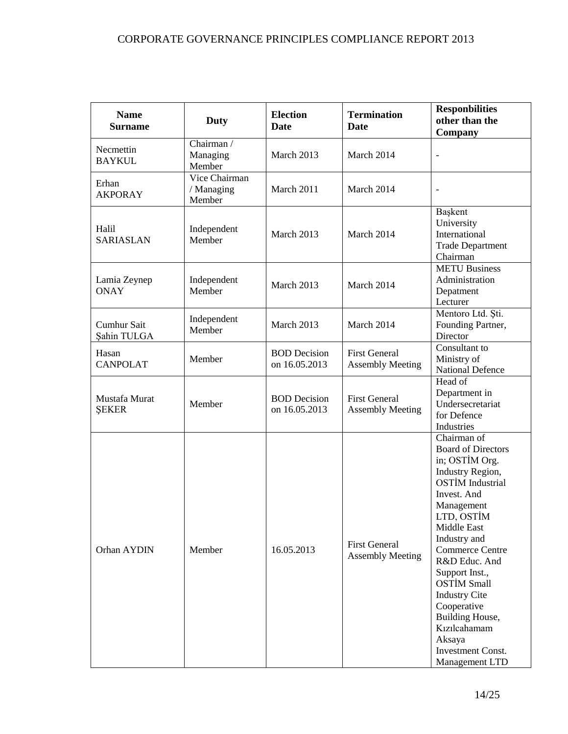| <b>Name</b><br><b>Surname</b> | <b>Duty</b>                           | <b>Election</b><br><b>Date</b>       | <b>Termination</b><br><b>Date</b>               | <b>Responbilities</b><br>other than the<br>Company                                                                                                                                                                                                                                                                                                                                                       |
|-------------------------------|---------------------------------------|--------------------------------------|-------------------------------------------------|----------------------------------------------------------------------------------------------------------------------------------------------------------------------------------------------------------------------------------------------------------------------------------------------------------------------------------------------------------------------------------------------------------|
| Necmettin<br><b>BAYKUL</b>    | Chairman /<br>Managing<br>Member      | March 2013                           | March 2014                                      |                                                                                                                                                                                                                                                                                                                                                                                                          |
| Erhan<br><b>AKPORAY</b>       | Vice Chairman<br>/ Managing<br>Member | March 2011                           | March 2014                                      | $\qquad \qquad -$                                                                                                                                                                                                                                                                                                                                                                                        |
| Halil<br><b>SARIASLAN</b>     | Independent<br>Member                 | March 2013                           | March 2014                                      | Başkent<br>University<br>International<br><b>Trade Department</b><br>Chairman                                                                                                                                                                                                                                                                                                                            |
| Lamia Zeynep<br><b>ONAY</b>   | Independent<br>Member                 | March 2013                           | March 2014                                      | <b>METU Business</b><br>Administration<br>Depatment<br>Lecturer                                                                                                                                                                                                                                                                                                                                          |
| Cumhur Sait<br>Şahin TULGA    | Independent<br>Member                 | March 2013                           | March 2014                                      | Mentoro Ltd. Ști.<br>Founding Partner,<br>Director                                                                                                                                                                                                                                                                                                                                                       |
| Hasan<br><b>CANPOLAT</b>      | Member                                | <b>BOD</b> Decision<br>on 16.05.2013 | <b>First General</b><br><b>Assembly Meeting</b> | Consultant to<br>Ministry of<br><b>National Defence</b>                                                                                                                                                                                                                                                                                                                                                  |
| Mustafa Murat<br><b>ŞEKER</b> | Member                                | <b>BOD</b> Decision<br>on 16.05.2013 | <b>First General</b><br><b>Assembly Meeting</b> | Head of<br>Department in<br>Undersecretariat<br>for Defence<br>Industries                                                                                                                                                                                                                                                                                                                                |
| Orhan AYDIN                   | Member                                | 16.05.2013                           | <b>First General</b><br><b>Assembly Meeting</b> | Chairman of<br><b>Board of Directors</b><br>in; OSTIM Org.<br>Industry Region,<br><b>OSTİM</b> Industrial<br>Invest. And<br>Management<br>LTD, OSTİM<br>Middle East<br>Industry and<br><b>Commerce Centre</b><br>R&D Educ. And<br>Support Inst.,<br><b>OSTİM Small</b><br><b>Industry Cite</b><br>Cooperative<br>Building House,<br>Kızılcahamam<br>Aksaya<br><b>Investment Const.</b><br>Management LTD |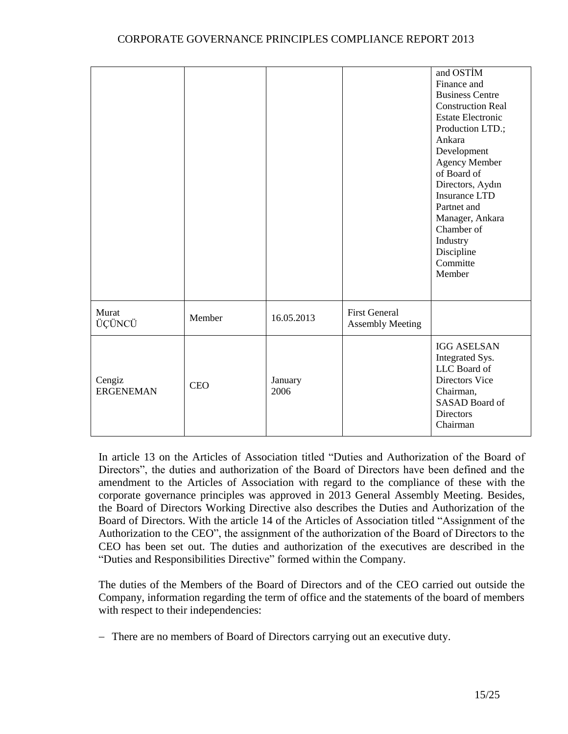|                            |            |                 |                                                 | and OSTİM<br>Finance and<br><b>Business Centre</b><br><b>Construction Real</b><br><b>Estate Electronic</b><br>Production LTD.;<br>Ankara<br>Development<br>Agency Member<br>of Board of<br>Directors, Aydın<br><b>Insurance LTD</b><br>Partnet and<br>Manager, Ankara<br>Chamber of<br>Industry<br>Discipline<br>Committe<br>Member |
|----------------------------|------------|-----------------|-------------------------------------------------|-------------------------------------------------------------------------------------------------------------------------------------------------------------------------------------------------------------------------------------------------------------------------------------------------------------------------------------|
| Murat<br>ÜÇÜNCÜ            | Member     | 16.05.2013      | <b>First General</b><br><b>Assembly Meeting</b> |                                                                                                                                                                                                                                                                                                                                     |
| Cengiz<br><b>ERGENEMAN</b> | <b>CEO</b> | January<br>2006 |                                                 | <b>IGG ASELSAN</b><br>Integrated Sys.<br>LLC Board of<br><b>Directors Vice</b><br>Chairman,<br>SASAD Board of<br><b>Directors</b><br>Chairman                                                                                                                                                                                       |

In article 13 on the Articles of Association titled "Duties and Authorization of the Board of Directors", the duties and authorization of the Board of Directors have been defined and the amendment to the Articles of Association with regard to the compliance of these with the corporate governance principles was approved in 2013 General Assembly Meeting. Besides, the Board of Directors Working Directive also describes the Duties and Authorization of the Board of Directors. With the article 14 of the Articles of Association titled "Assignment of the Authorization to the CEO", the assignment of the authorization of the Board of Directors to the CEO has been set out. The duties and authorization of the executives are described in the "Duties and Responsibilities Directive" formed within the Company.

The duties of the Members of the Board of Directors and of the CEO carried out outside the Company, information regarding the term of office and the statements of the board of members with respect to their independencies:

There are no members of Board of Directors carrying out an executive duty.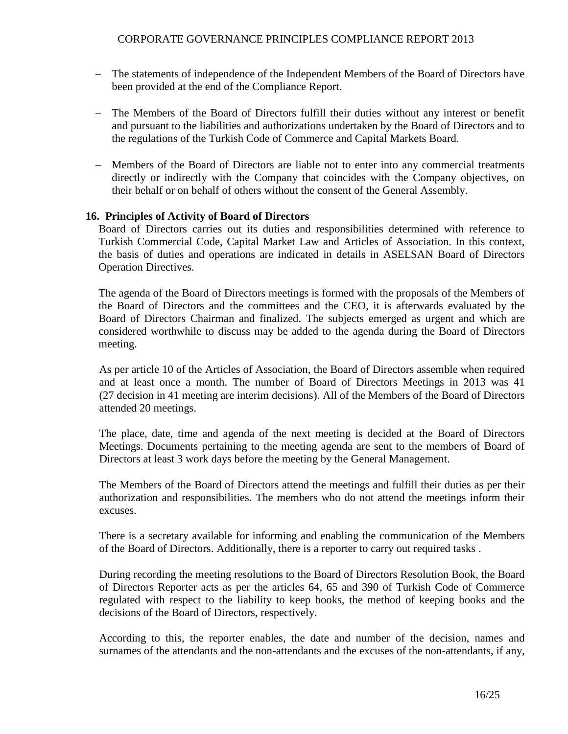- The statements of independence of the Independent Members of the Board of Directors have been provided at the end of the Compliance Report.
- The Members of the Board of Directors fulfill their duties without any interest or benefit and pursuant to the liabilities and authorizations undertaken by the Board of Directors and to the regulations of the Turkish Code of Commerce and Capital Markets Board.
- Members of the Board of Directors are liable not to enter into any commercial treatments directly or indirectly with the Company that coincides with the Company objectives, on their behalf or on behalf of others without the consent of the General Assembly.

### **16. Principles of Activity of Board of Directors**

Board of Directors carries out its duties and responsibilities determined with reference to Turkish Commercial Code, Capital Market Law and Articles of Association. In this context, the basis of duties and operations are indicated in details in ASELSAN Board of Directors Operation Directives.

The agenda of the Board of Directors meetings is formed with the proposals of the Members of the Board of Directors and the committees and the CEO, it is afterwards evaluated by the Board of Directors Chairman and finalized. The subjects emerged as urgent and which are considered worthwhile to discuss may be added to the agenda during the Board of Directors meeting.

As per article 10 of the Articles of Association, the Board of Directors assemble when required and at least once a month. The number of Board of Directors Meetings in 2013 was 41 (27 decision in 41 meeting are interim decisions). All of the Members of the Board of Directors attended 20 meetings.

The place, date, time and agenda of the next meeting is decided at the Board of Directors Meetings. Documents pertaining to the meeting agenda are sent to the members of Board of Directors at least 3 work days before the meeting by the General Management.

The Members of the Board of Directors attend the meetings and fulfill their duties as per their authorization and responsibilities. The members who do not attend the meetings inform their excuses.

There is a secretary available for informing and enabling the communication of the Members of the Board of Directors. Additionally, there is a reporter to carry out required tasks .

During recording the meeting resolutions to the Board of Directors Resolution Book, the Board of Directors Reporter acts as per the articles 64, 65 and 390 of Turkish Code of Commerce regulated with respect to the liability to keep books, the method of keeping books and the decisions of the Board of Directors, respectively.

According to this, the reporter enables, the date and number of the decision, names and surnames of the attendants and the non-attendants and the excuses of the non-attendants, if any,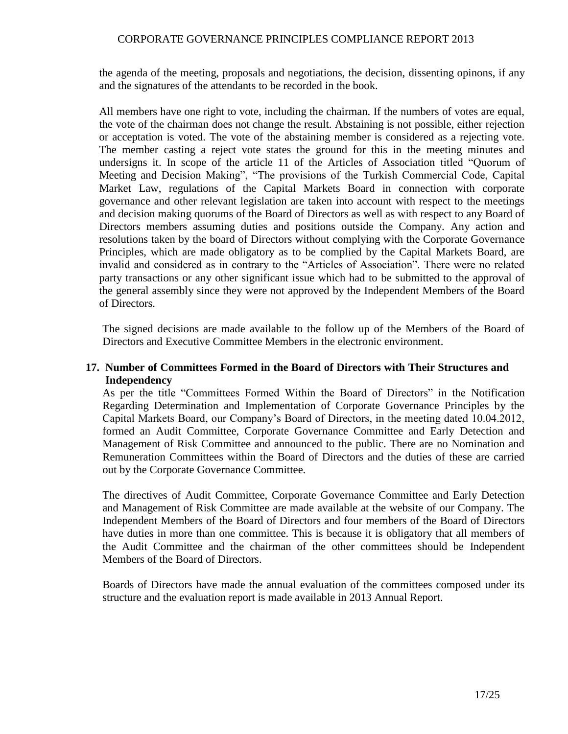the agenda of the meeting, proposals and negotiations, the decision, dissenting opinons, if any and the signatures of the attendants to be recorded in the book.

All members have one right to vote, including the chairman. If the numbers of votes are equal, the vote of the chairman does not change the result. Abstaining is not possible, either rejection or acceptation is voted. The vote of the abstaining member is considered as a rejecting vote. The member casting a reject vote states the ground for this in the meeting minutes and undersigns it. In scope of the article 11 of the Articles of Association titled "Quorum of Meeting and Decision Making", "The provisions of the Turkish Commercial Code, Capital Market Law, regulations of the Capital Markets Board in connection with corporate governance and other relevant legislation are taken into account with respect to the meetings and decision making quorums of the Board of Directors as well as with respect to any Board of Directors members assuming duties and positions outside the Company. Any action and resolutions taken by the board of Directors without complying with the Corporate Governance Principles, which are made obligatory as to be complied by the Capital Markets Board, are invalid and considered as in contrary to the "Articles of Association". There were no related party transactions or any other significant issue which had to be submitted to the approval of the general assembly since they were not approved by the Independent Members of the Board of Directors.

The signed decisions are made available to the follow up of the Members of the Board of Directors and Executive Committee Members in the electronic environment.

### **17. Number of Committees Formed in the Board of Directors with Their Structures and Independency**

As per the title "Committees Formed Within the Board of Directors" in the Notification Regarding Determination and Implementation of Corporate Governance Principles by the Capital Markets Board, our Company's Board of Directors, in the meeting dated 10.04.2012, formed an Audit Committee, Corporate Governance Committee and Early Detection and Management of Risk Committee and announced to the public. There are no Nomination and Remuneration Committees within the Board of Directors and the duties of these are carried out by the Corporate Governance Committee.

The directives of Audit Committee, Corporate Governance Committee and Early Detection and Management of Risk Committee are made available at the website of our Company. The Independent Members of the Board of Directors and four members of the Board of Directors have duties in more than one committee. This is because it is obligatory that all members of the Audit Committee and the chairman of the other committees should be Independent Members of the Board of Directors.

Boards of Directors have made the annual evaluation of the committees composed under its structure and the evaluation report is made available in 2013 Annual Report.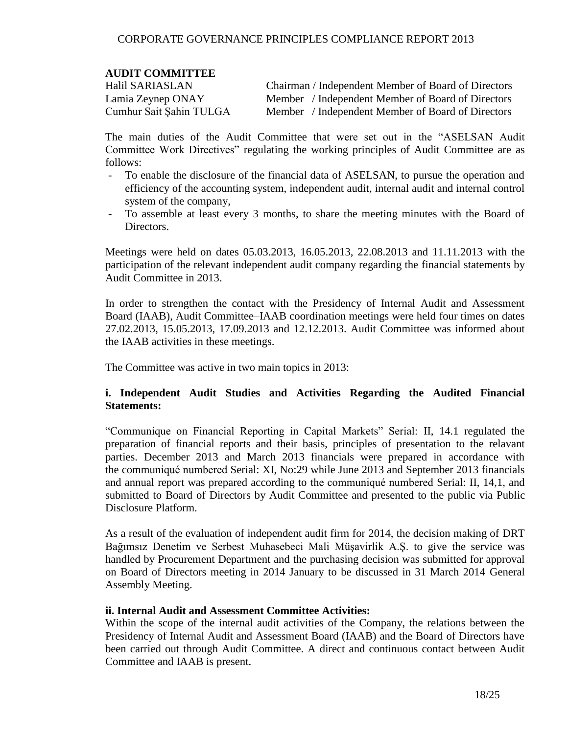### **AUDIT COMMITTEE**

Halil SARIASLAN Chairman / Independent Member of Board of Directors Lamia Zeynep ONAY Member / Independent Member of Board of Directors Cumhur Sait Şahin TULGA Member / Independent Member of Board of Directors

The main duties of the Audit Committee that were set out in the "ASELSAN Audit Committee Work Directives" regulating the working principles of Audit Committee are as follows:

- To enable the disclosure of the financial data of ASELSAN, to pursue the operation and efficiency of the accounting system, independent audit, internal audit and internal control system of the company,
- To assemble at least every 3 months, to share the meeting minutes with the Board of Directors.

Meetings were held on dates 05.03.2013, 16.05.2013, 22.08.2013 and 11.11.2013 with the participation of the relevant independent audit company regarding the financial statements by Audit Committee in 2013.

In order to strengthen the contact with the Presidency of Internal Audit and Assessment Board (IAAB), Audit Committee–IAAB coordination meetings were held four times on dates 27.02.2013, 15.05.2013, 17.09.2013 and 12.12.2013. Audit Committee was informed about the IAAB activities in these meetings.

The Committee was active in two main topics in 2013:

### **i. Independent Audit Studies and Activities Regarding the Audited Financial Statements:**

"Communique on Financial Reporting in Capital Markets" Serial: II, 14.1 regulated the preparation of financial reports and their basis, principles of presentation to the relavant parties. December 2013 and March 2013 financials were prepared in accordance with the communiqué numbered Serial: XI, No:29 while June 2013 and September 2013 financials and annual report was prepared according to the communiqué numbered Serial: II, 14,1, and submitted to Board of Directors by Audit Committee and presented to the public via Public Disclosure Platform.

As a result of the evaluation of independent audit firm for 2014, the decision making of DRT Bağımsız Denetim ve Serbest Muhasebeci Mali Müşavirlik A.Ş. to give the service was handled by Procurement Department and the purchasing decision was submitted for approval on Board of Directors meeting in 2014 January to be discussed in 31 March 2014 General Assembly Meeting.

#### **ii. Internal Audit and Assessment Committee Activities:**

Within the scope of the internal audit activities of the Company, the relations between the Presidency of Internal Audit and Assessment Board (IAAB) and the Board of Directors have been carried out through Audit Committee. A direct and continuous contact between Audit Committee and IAAB is present.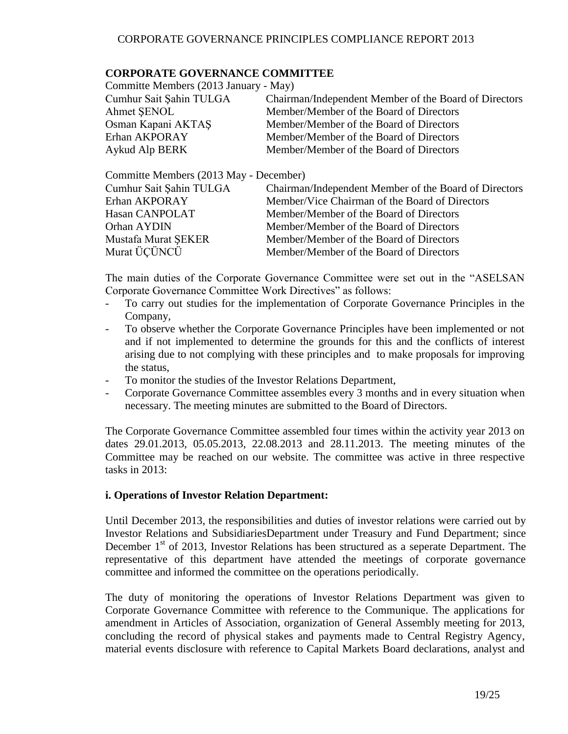### **CORPORATE GOVERNANCE COMMITTEE**

| Committe Members (2013 January - May)                 |
|-------------------------------------------------------|
| Chairman/Independent Member of the Board of Directors |
| Member/Member of the Board of Directors               |
| Member/Member of the Board of Directors               |
| Member/Member of the Board of Directors               |
| Member/Member of the Board of Directors               |
|                                                       |

Committe Members (2013 May - December) Cumhur Sait Şahin TULGA Chairman/Independent Member of the Board of Directors Erhan AKPORAY Member/Vice Chairman of the Board of Directors Hasan CANPOLAT Member/Member of the Board of Directors Orhan AYDIN Member/Member of the Board of Directors Mustafa Murat ŞEKER Member/Member of the Board of Directors Murat ÜÇÜNCÜ Member/Member of the Board of Directors

The main duties of the Corporate Governance Committee were set out in the "ASELSAN Corporate Governance Committee Work Directives" as follows:

- To carry out studies for the implementation of Corporate Governance Principles in the Company,
- To observe whether the Corporate Governance Principles have been implemented or not and if not implemented to determine the grounds for this and the conflicts of interest arising due to not complying with these principles and to make proposals for improving the status,
- To monitor the studies of the Investor Relations Department,
- Corporate Governance Committee assembles every 3 months and in every situation when necessary. The meeting minutes are submitted to the Board of Directors.

The Corporate Governance Committee assembled four times within the activity year 2013 on dates 29.01.2013, 05.05.2013, 22.08.2013 and 28.11.2013. The meeting minutes of the Committee may be reached on our website. The committee was active in three respective tasks in 2013:

### **i. Operations of Investor Relation Department:**

Until December 2013, the responsibilities and duties of investor relations were carried out by Investor Relations and SubsidiariesDepartment under Treasury and Fund Department; since December 1<sup>st</sup> of 2013, Investor Relations has been structured as a seperate Department. The representative of this department have attended the meetings of corporate governance committee and informed the committee on the operations periodically.

The duty of monitoring the operations of Investor Relations Department was given to Corporate Governance Committee with reference to the Communique. The applications for amendment in Articles of Association, organization of General Assembly meeting for 2013, concluding the record of physical stakes and payments made to Central Registry Agency, material events disclosure with reference to Capital Markets Board declarations, analyst and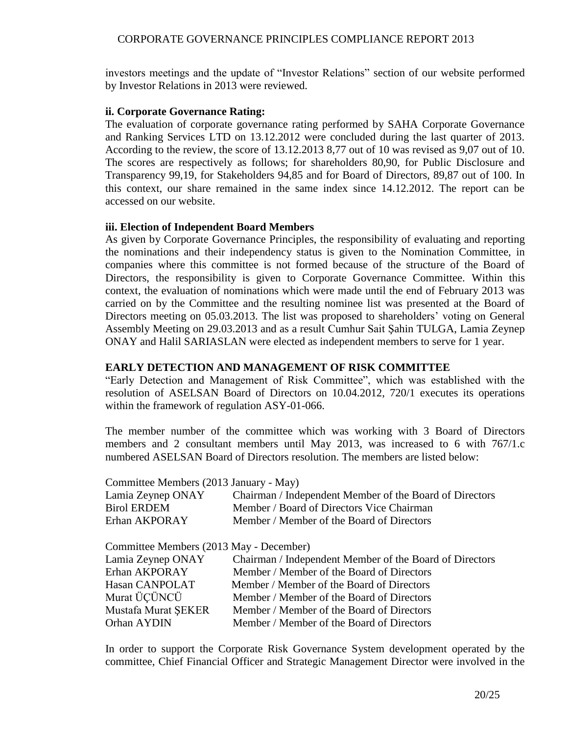investors meetings and the update of "Investor Relations" section of our website performed by Investor Relations in 2013 were reviewed.

### **ii. Corporate Governance Rating:**

The evaluation of corporate governance rating performed by SAHA Corporate Governance and Ranking Services LTD on 13.12.2012 were concluded during the last quarter of 2013. According to the review, the score of 13.12.2013 8,77 out of 10 was revised as 9,07 out of 10. The scores are respectively as follows; for shareholders 80,90, for Public Disclosure and Transparency 99,19, for Stakeholders 94,85 and for Board of Directors, 89,87 out of 100. In this context, our share remained in the same index since 14.12.2012. The report can be accessed on our website.

### **iii. Election of Independent Board Members**

As given by Corporate Governance Principles, the responsibility of evaluating and reporting the nominations and their independency status is given to the Nomination Committee, in companies where this committee is not formed because of the structure of the Board of Directors, the responsibility is given to Corporate Governance Committee. Within this context, the evaluation of nominations which were made until the end of February 2013 was carried on by the Committee and the resulting nominee list was presented at the Board of Directors meeting on 05.03.2013. The list was proposed to shareholders' voting on General Assembly Meeting on 29.03.2013 and as a result Cumhur Sait Şahin TULGA, Lamia Zeynep ONAY and Halil SARIASLAN were elected as independent members to serve for 1 year.

### **EARLY DETECTION AND MANAGEMENT OF RISK COMMITTEE**

"Early Detection and Management of Risk Committee", which was established with the resolution of ASELSAN Board of Directors on 10.04.2012, 720/1 executes its operations within the framework of regulation ASY-01-066.

The member number of the committee which was working with 3 Board of Directors members and 2 consultant members until May 2013, was increased to 6 with 767/1.c numbered ASELSAN Board of Directors resolution. The members are listed below:

| Committee Members (2013 January - May)  |                                                         |
|-----------------------------------------|---------------------------------------------------------|
|                                         |                                                         |
| Lamia Zeynep ONAY                       | Chairman / Independent Member of the Board of Directors |
| <b>Birol ERDEM</b>                      | Member / Board of Directors Vice Chairman               |
| Erhan AKPORAY                           | Member / Member of the Board of Directors               |
| Committee Members (2013 May - December) |                                                         |
| Lamia Zeynep ONAY                       | Chairman / Independent Member of the Board of Directors |
| Erhan AKPORAY                           | Member / Member of the Board of Directors               |

| Hasan CANPOLAT      | Member / Member of the Board of Directors |
|---------------------|-------------------------------------------|
| Murat ÜÇÜNCÜ        | Member / Member of the Board of Directors |
| Mustafa Murat SEKER | Member / Member of the Board of Directors |
| Orhan AYDIN         | Member / Member of the Board of Directors |

In order to support the Corporate Risk Governance System development operated by the committee, Chief Financial Officer and Strategic Management Director were involved in the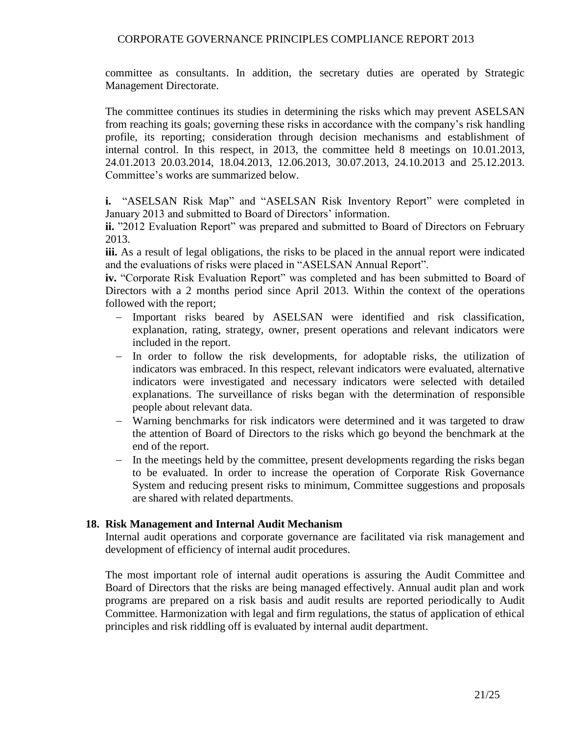committee as consultants. In addition, the secretary duties are operated by Strategic Management Directorate.

The committee continues its studies in determining the risks which may prevent ASELSAN from reaching its goals; governing these risks in accordance with the company's risk handling profile, its reporting; consideration through decision mechanisms and establishment of internal control. In this respect, in 2013, the committee held 8 meetings on 10.01.2013, 24.01.2013 20.03.2014, 18.04.2013, 12.06.2013, 30.07.2013, 24.10.2013 and 25.12.2013. Committee's works are summarized below.

**i.** "ASELSAN Risk Map" and "ASELSAN Risk Inventory Report" were completed in January 2013 and submitted to Board of Directors' information.

**ii.** "2012 Evaluation Report" was prepared and submitted to Board of Directors on February 2013.

**iii.** As a result of legal obligations, the risks to be placed in the annual report were indicated and the evaluations of risks were placed in "ASELSAN Annual Report".

**iv.** "Corporate Risk Evaluation Report" was completed and has been submitted to Board of Directors with a 2 months period since April 2013. Within the context of the operations followed with the report;

- Important risks beared by ASELSAN were identified and risk classification, explanation, rating, strategy, owner, present operations and relevant indicators were included in the report.
- In order to follow the risk developments, for adoptable risks, the utilization of indicators was embraced. In this respect, relevant indicators were evaluated, alternative indicators were investigated and necessary indicators were selected with detailed explanations. The surveillance of risks began with the determination of responsible people about relevant data.
- Warning benchmarks for risk indicators were determined and it was targeted to draw the attention of Board of Directors to the risks which go beyond the benchmark at the end of the report.
- In the meetings held by the committee, present developments regarding the risks began to be evaluated. In order to increase the operation of Corporate Risk Governance System and reducing present risks to minimum, Committee suggestions and proposals are shared with related departments.

### **18. Risk Management and Internal Audit Mechanism**

Internal audit operations and corporate governance are facilitated via risk management and development of efficiency of internal audit procedures.

The most important role of internal audit operations is assuring the Audit Committee and Board of Directors that the risks are being managed effectively. Annual audit plan and work programs are prepared on a risk basis and audit results are reported periodically to Audit Committee. Harmonization with legal and firm regulations, the status of application of ethical principles and risk riddling off is evaluated by internal audit department.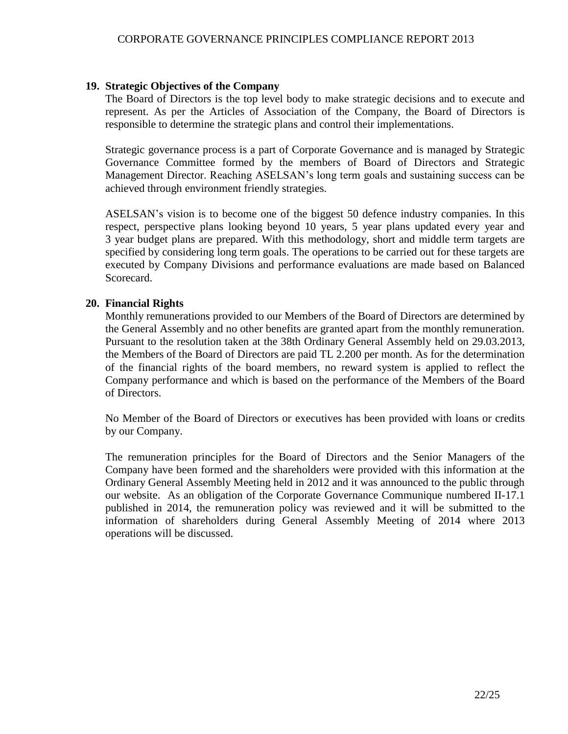#### **19. Strategic Objectives of the Company**

The Board of Directors is the top level body to make strategic decisions and to execute and represent. As per the Articles of Association of the Company, the Board of Directors is responsible to determine the strategic plans and control their implementations.

Strategic governance process is a part of Corporate Governance and is managed by Strategic Governance Committee formed by the members of Board of Directors and Strategic Management Director. Reaching ASELSAN's long term goals and sustaining success can be achieved through environment friendly strategies.

ASELSAN's vision is to become one of the biggest 50 defence industry companies. In this respect, perspective plans looking beyond 10 years, 5 year plans updated every year and 3 year budget plans are prepared. With this methodology, short and middle term targets are specified by considering long term goals. The operations to be carried out for these targets are executed by Company Divisions and performance evaluations are made based on Balanced Scorecard.

#### **20. Financial Rights**

Monthly remunerations provided to our Members of the Board of Directors are determined by the General Assembly and no other benefits are granted apart from the monthly remuneration. Pursuant to the resolution taken at the 38th Ordinary General Assembly held on 29.03.2013, the Members of the Board of Directors are paid TL 2.200 per month. As for the determination of the financial rights of the board members, no reward system is applied to reflect the Company performance and which is based on the performance of the Members of the Board of Directors.

No Member of the Board of Directors or executives has been provided with loans or credits by our Company.

The remuneration principles for the Board of Directors and the Senior Managers of the Company have been formed and the shareholders were provided with this information at the Ordinary General Assembly Meeting held in 2012 and it was announced to the public through our website. As an obligation of the Corporate Governance Communique numbered II-17.1 published in 2014, the remuneration policy was reviewed and it will be submitted to the information of shareholders during General Assembly Meeting of 2014 where 2013 operations will be discussed.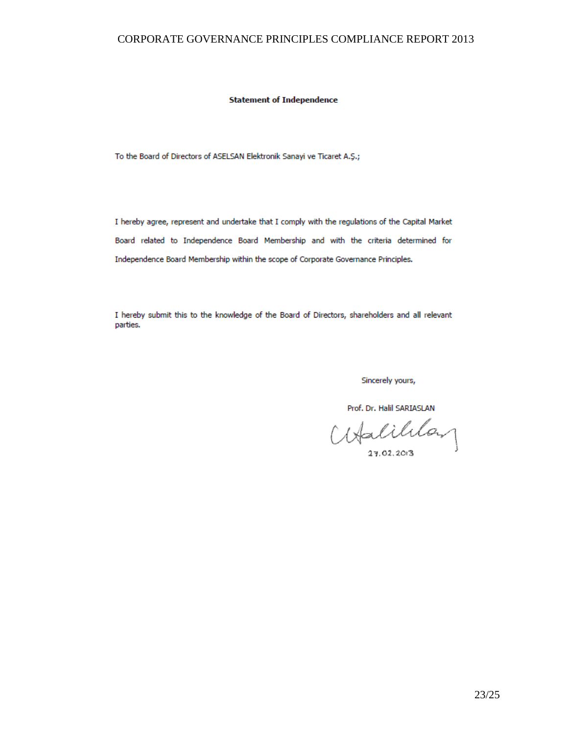#### **Statement of Independence**

To the Board of Directors of ASELSAN Elektronik Sanayi ve Ticaret A.Ş.;

I hereby agree, represent and undertake that I comply with the regulations of the Capital Market Board related to Independence Board Membership and with the criteria determined for Independence Board Membership within the scope of Corporate Governance Principles.

I hereby submit this to the knowledge of the Board of Directors, shareholders and all relevant parties.

Sincerely yours,

Prof. Dr. Halil SARIASLAN

Halililan

27.02.2013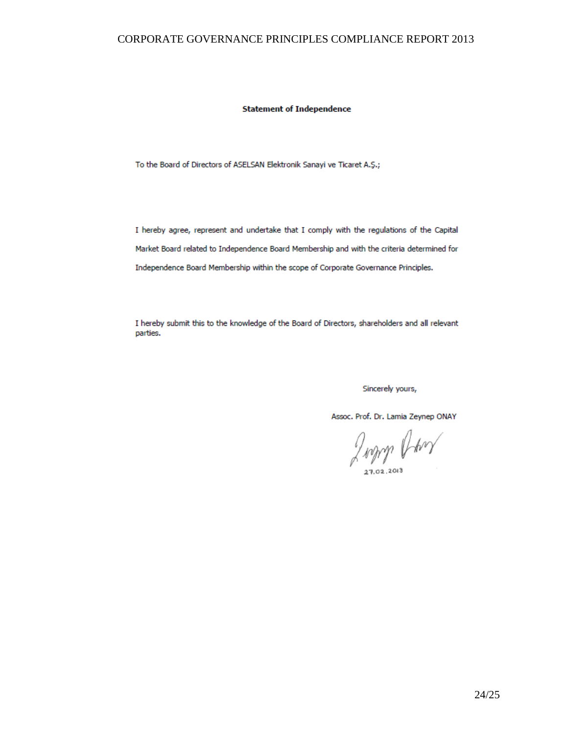**Statement of Independence** 

To the Board of Directors of ASELSAN Elektronik Sanayi ve Ticaret A.Ş.;

I hereby agree, represent and undertake that I comply with the regulations of the Capital Market Board related to Independence Board Membership and with the criteria determined for Independence Board Membership within the scope of Corporate Governance Principles.

I hereby submit this to the knowledge of the Board of Directors, shareholders and all relevant parties.

Sincerely yours,

Assoc. Prof. Dr. Lamia Zeynep ONAY

Judith Owen

27.02.2013